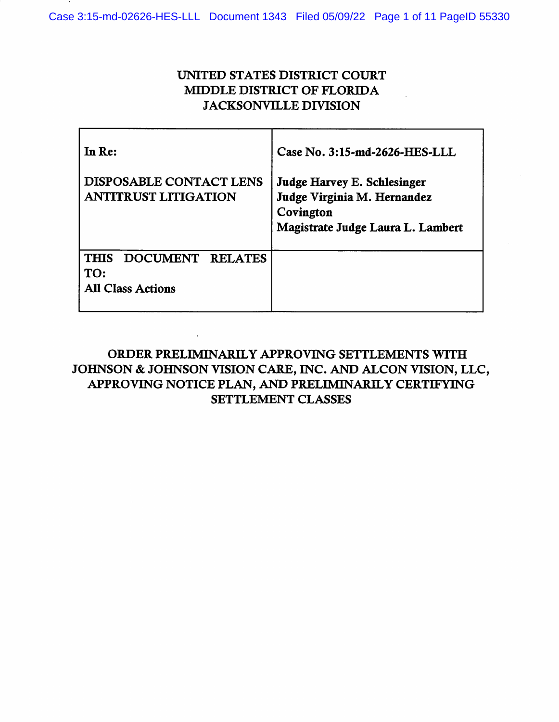# UNITED STATES DISTRICT COURT MIDDLE DISTRICT OF FLORIDA JACKSONVILLE DIVISION

| In Re:                                                                              | Case No. 3:15-md-2626-HES-LLL                                                                                |
|-------------------------------------------------------------------------------------|--------------------------------------------------------------------------------------------------------------|
| <b>DISPOSABLE CONTACT LENS</b><br><b>ANTITRUST LITIGATION</b>                       | Judge Harvey E. Schlesinger<br>Judge Virginia M. Hernandez<br>Covington<br>Magistrate Judge Laura L. Lambert |
| <b>THIS</b><br><b>DOCUMENT</b><br><b>RELATES</b><br>TO:<br><b>All Class Actions</b> |                                                                                                              |

# ORDER PRELIMINARILY APPROVING SETTLEMENTS WITH JOHNSON & JOHNSON VISION CARE, INC. AND ALCON VISION, LLC, APPROVING NOTICE PLAN, AND PRELIMINARILY CERTIFYING SETTLEMENT CLASSES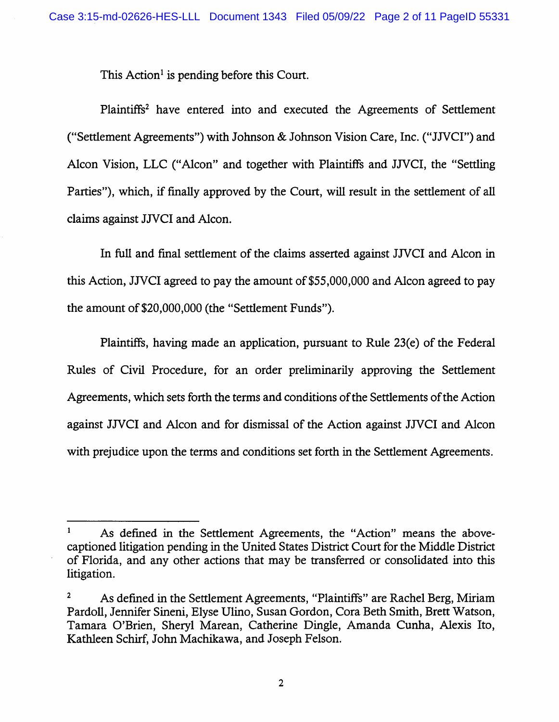This  $Action<sup>1</sup>$  is pending before this Court.

Plaintiffs<sup>2</sup> have entered into and executed the Agreements of Settlement ("Setdement Agreements") with Johnson & Johnson Vision Care, Inc. ("JJVCI") and Alcon Vision, LLC ("Alcon" and together with Plaintiffs and JJVCI, the "Settling Parties"), which, if finally approved by the Court, will result in the settlement of all claims against JJVCI and Alcon.

In full and final settlement of the claims asserted against JJVCI and Alcon in this Action, JJVCI agreed to pay the amount of \$55,000,000 and Alcon agreed to pay the amount of \$20,000,000 (the "Settlement Funds").

Plaintiffs, having made an application, pursuant to Rule 23(e) of the Federal Rules of Civil Procedure, for an order preliminarily approving the Settlement Agreements, which sets forth the terms and conditions of the Settlements of the Action against JJVCI and Alcon and for dismissal of the Action against JJVCI and Alcon with prejudice upon the terms and conditions set forth in the Settlement Agreements.

 $\overline{2}$ 

 $\Lambda$  As defined in the Settlement Agreements, the "Action" means the abovecaptioned litigation pending in the United States District Court for the Middle District of Florida, and any other actions that may be transferred or consolidated into this litigation.

<sup>&</sup>lt;sup>2</sup> As defined in the Settlement Agreements, "Plaintiffs" are Rachel Berg, Miriam Pardoll, Jennifer Sineni, Elyse Ulino, Susan Gordon, Cora Beth Smith, Brett Watson, Tamara O'Brien, Sheryl Marean, Catherine Dingle, Amanda Cunha, Alexis Ito, Kathleen Schirf, John Machikawa, and Joseph Felson.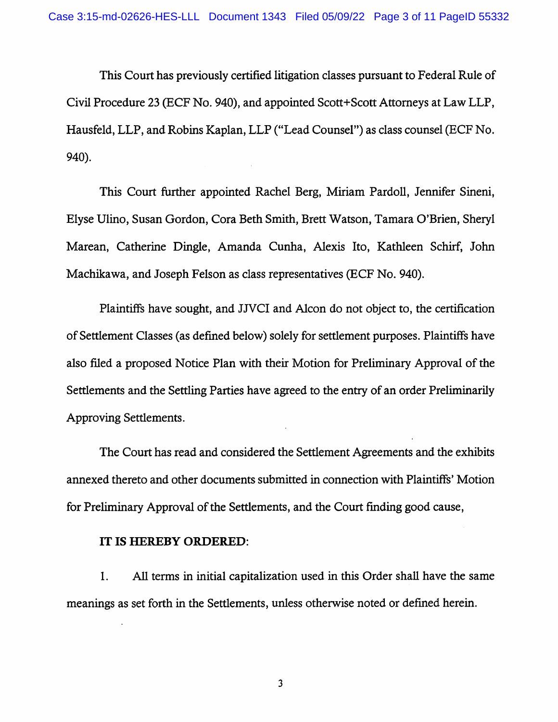This Court has previously certified litigation classes pursuant to Federal Rule of Civil Procedure 23 (ECF No. 940), and appointed Scott+Scott Attorneys at Law LLP, Hausfeld, LLP, and Robins Kaplan, LLP ("Lead Counsel") as class counsel (ECF No. 940).

This Court further appointed Rachel Berg, Miriam PardoU, Jennifer Sineni, Elyse Ulino, Susan Gordon, Cora Beth Smith, Brett Watson, Tamara O'Brien, Sheryl Marean, Catherine Dingle, Amanda Cunha, Alexis Ito, Kathleen Schirf, John Machikawa, and Joseph Felson as class representatives (ECF No. 940).

Plaintiffs have sought, and JJVCI and Alcon do not object to, the certification of Settlement Classes (as defined below) solely for settlement purposes. Plaintiffs have also filed a proposed Notice Plan with their Motion for Preliminary Approval of the Settlements and the Settling Parties have agreed to the entry of an order Preliminarily Approving Settlements.

The Court has read and considered the Settlement Agreements and the exhibits annexed thereto and other documents submitted in connection with Plaintiffs' Motion for Preliminary Approval of the Settlements, and the Court finding good cause,

#### IT IS HEREBY ORDERED:

1. All terms in initial capitalization used in this Order shall have the same meanings as set forth in the Settlements, unless otherwise noted or defined herein.

 $\overline{\mathbf{3}}$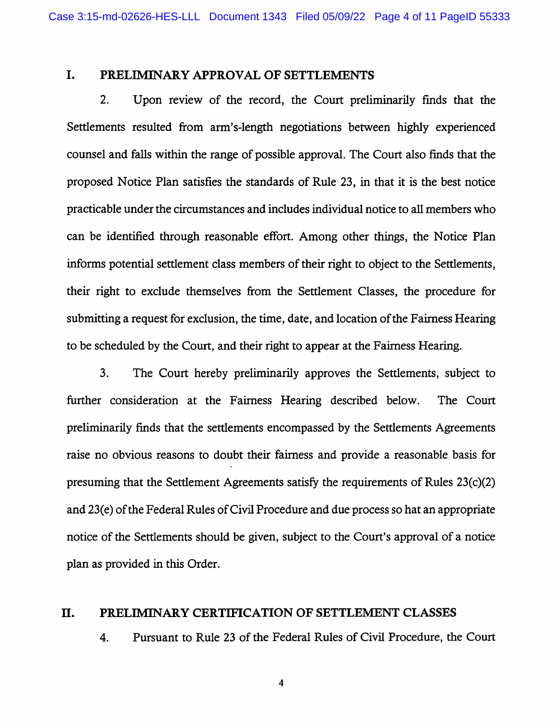### I. PRELIMINARY APPROVAL OF SETTLEMENTS

2. Upon review of the record, the Court preliminarily finds that the Settlements resulted from arm's-length negotiations between highly experienced counsel and falls within the range of possible approval. The Court also finds that the proposed Notice Plan satisfies the standards of Rule 23, in that it is the best notice practicable under the circumstances and includes individual notice to all members who can be identified through reasonable effort. Among other things, the Notice Plan informs potential settlement class members of their right to object to the Settlements, their right to exclude themselves from the Settlement Classes, the procedure for submitting a request for exclusion, the time, date, and location of the Fairness Hearing to be scheduled by the Court, and their right to appear at the Fairness Hearing.

3. The Court hereby preliminarily approves the Settlements, subject to further consideration at the Fairness Hearing described below. The Court preliminarily finds that the settlements encompassed by the Settlements Agreements raise no obvious reasons to doubt their fairness and provide a reasonable basis for presuming that the Settlement Agreements satisfy the requirements of Rules 23(c)(2) and 23(e) of the Federal Rules of Civil Procedure and due process so hat an appropriate notice of the Settlements should be given, subject to the Court's approval of a notice plan as provided in this Order.

#### n. PRELIMINARY CERTIFICATION OF SETTLEMENT CLASSES

4. Pursuant to Rule 23 of the Federal Rules of Civil Procedure, the Court

 $\overline{\mathbf{4}}$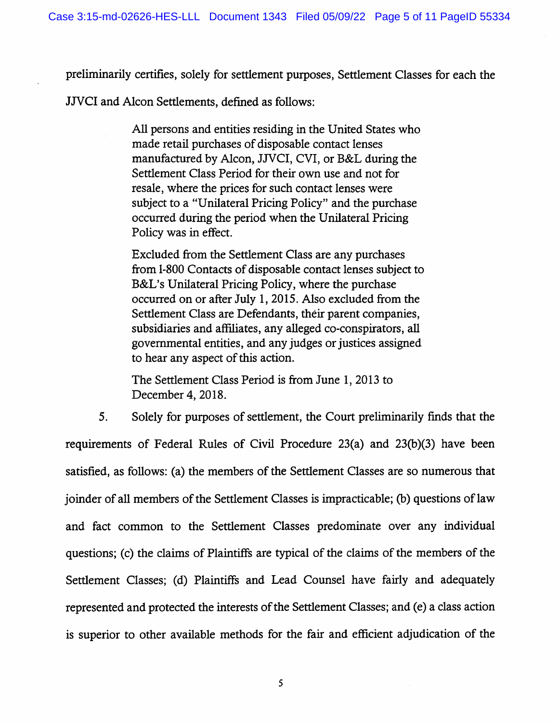preliminarily certifies, solely for settlement purposes, Settlement Classes for each the

JJVCI and Alcon Settlements, defined as follows:

All persons and entities residing in the United States who made retail purchases of disposable contact lenses manufactured by Alcon, JJVCI, CVI, or B&L during the Settlement Class Period for their own use and not for resale, where the prices for such contact lenses were subject to a "Unilateral Pricing Policy" and the purchase occurred during the period when the Unilateral Pricing Policy was in effect.

Excluded from the Settlement Class are any purchases from 1-800 Contacts of disposable contact lenses subject to B&L's Unilateral Pricing Policy, where the purchase occurred on or after July 1, 2015. Also excluded from the Settlement Class are Defendants, their parent companies, subsidiaries and affihates, any alleged co-conspirators, all governmental entities, and any judges or justices assigned to hear any aspect of this action.

The Settlement Class Period is firom June 1, 2013 to December 4, 2018.

5. Solely for purposes of settlement, the Court preliminarily finds that the requirements of Federal Rules of Civil Procedure 23(a) and 23(b)(3) have been satisfied, as follows: (a) the members of the Settlement Classes are so numerous that joinder of all members of the Settlement Classes is impracticable; (b) questions of law and fact common to the Settlement Classes predominate over any individual questions; (c) the claims of Plaintiffs are typical of the claims of the members of the Settlement Classes; (d) Plaintiffs and Lead Counsel have fairly and adequately represented and protected the interests of the Settlement Classes; and (e) a class action is superior to other available methods for the fair and efficient adjudication of the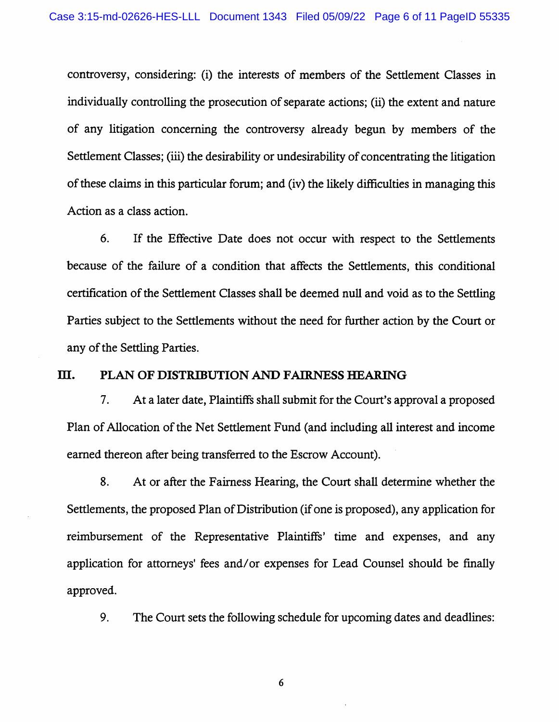controversy, considering: (i) the interests of members of the Settlement Classes in individually controlling the prosecution of separate actions; (ii) the extent and nature of any litigation concerning the controversy already begun by members of the Settlement Classes; (iii) the desirability or undesirability of concentrating the litigation of these claims in this particular forum; and (iv) the likely difficulties in managing this Action as a class action.

6. If the Effective Date does not occur with respect to the Settlements because of the failure of a condition that affects the Settlements, this conditional certification of the Settlement Classes shall be deemed null and void as to the Settling Parties subject to the Settlements without the need for further action by the Court or any of the Settling Parties.

### m. PLAN OF DISTRIBUTION AND FAIRNESS HEARING

7. At a later date. Plaintiffs shall submit for the Court's approval a proposed Plan of Allocation of the Net Settlement Fund (and including all interest and income earned thereon after being transferred to the Escrow Account).

8. At or after the Fairness Hearing, the Court shall determine whether the Settlements, the proposed Plan of Distribution (if one is proposed), any application for reimbursement of the Representative Plaintiffs' time and expenses, and any application for attorneys' fees and/or expenses for Lead Counsel should be finally approved.

9. The Court sets the following schedule for upcoming dates and deadlines:

 $6\,$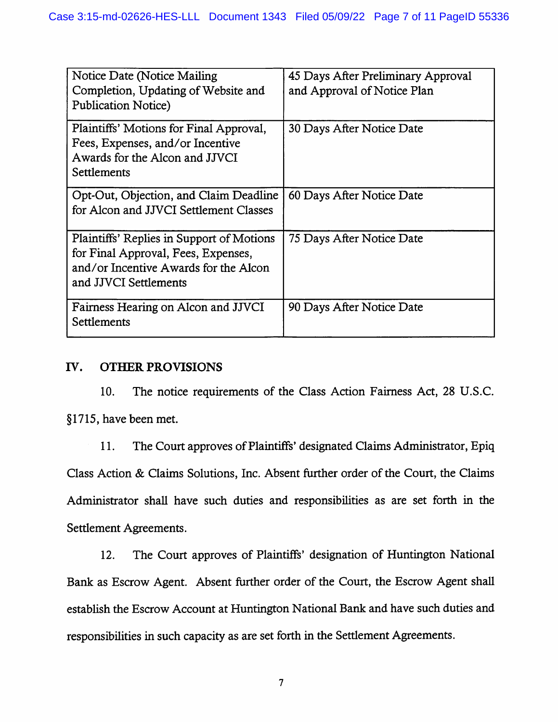| Notice Date (Notice Mailing)<br>Completion, Updating of Website and<br><b>Publication Notice</b> )                                                 | 45 Days After Preliminary Approval<br>and Approval of Notice Plan |
|----------------------------------------------------------------------------------------------------------------------------------------------------|-------------------------------------------------------------------|
| Plaintiffs' Motions for Final Approval,<br>Fees, Expenses, and/or Incentive<br>Awards for the Alcon and JJVCI<br><b>Settlements</b>                | 30 Days After Notice Date                                         |
| Opt-Out, Objection, and Claim Deadline<br>for Alcon and JJVCI Settlement Classes                                                                   | 60 Days After Notice Date                                         |
| Plaintiffs' Replies in Support of Motions<br>for Final Approval, Fees, Expenses,<br>and/or Incentive Awards for the Alcon<br>and JJVCI Settlements | 75 Days After Notice Date                                         |
| Fairness Hearing on Alcon and JJVCI<br>Settlements                                                                                                 | 90 Days After Notice Date                                         |

### IV. OTHER PROVISIONS

10. The notice requirements of the Class Action Fairness Act, 28 U.S.C. §1715, have been met.

11. The Court approves of Plaintiffs' designated Claims Administrator, Epiq Class Action & Claims Solutions, Inc. Absent further order of the Court, the Claims Administrator shall have such duties and responsibilities as are set forth in the Settlement Agreements.

12. The Court approves of Plaintiffs' designation of Huntington National Bank as Escrow Agent. Absent further order of the Court, the Escrow Agent shall establish the Escrow Account at Huntington National Bank and have such duties and responsibilities in such capacity as are set forth in the Settlement Agreements.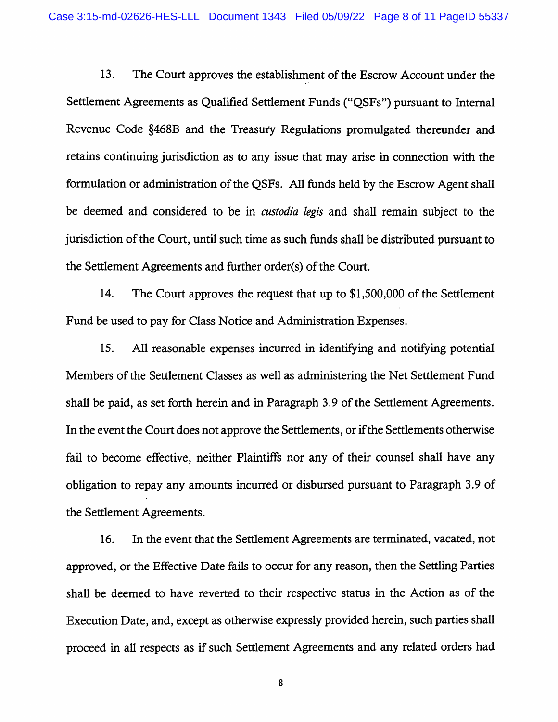13. The Court approves the establishment of the Escrow Account under the Settlement Agreements as Qualified Settlement Funds ("QSFs") pursuant to Internal Revenue Code §468B and the Treasury Regulations promulgated thereunder and retains continuing jurisdiction as to any issue that may arise in connection with the formulation or administration of the QSFs. All funds held by the Escrow Agent shall be deemed and considered to be in custodia legis and shall remain subject to the jurisdiction of the Court, until such time as such funds shall be distributed pursuant to the Settlement Agreements and further order(s) of the Court.

14. The Court approves the request that up to \$1,500,000 of the Settlement Fund be used to pay for Class Notice and Administration Expenses.

15. All reasonable expenses incurred in identifying and notifying potential Members of the Settlement Classes as well as administering the Net Settlement Fund shall be paid, as set forth herein and in Paragraph 3.9 of the Settlement Agreements. In the event the Court does not approve the Settlements, or if the Settlements otherwise fail to become effective, neither Plaintiffs nor any of their counsel shall have any obligation to repay any amounts incurred or disbursed pursuant to Paragraph 3.9 of the Settlement Agreements.

16. In the event that the Settlement Agreements are terminated, vacated, not approved, or the Effective Date fails to occur for any reason, then the Settling Parties shall be deemed to have reverted to their respective status in the Action as of the Execution Date, and, except as otherwise expressly provided herein, such parties shall proceed in all respects as if such Settlement Agreements and any related orders had

 $\boldsymbol{8}$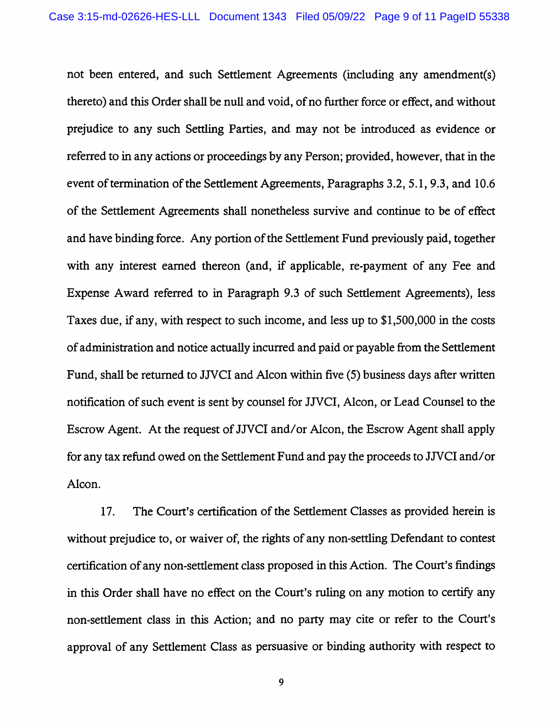not been entered, and such Settlement Agreements (including any amendment(s) thereto) and this Order shall be null and void, of no further force or effect, and without prejudice to any such Settling Parties, and may not be introduced as evidence or referred to in any actions or proceedings by any Person; provided, however, that in the event of termination of the Settlement Agreements, Paragraphs 3.2, 5.1, 9.3, and 10.6 of the Settlement Agreements shall nonetheless survive and continue to be of effect and have binding force. Any portion of the Settlement Fund previously paid, together with any interest earned thereon (and, if applicable, re-payment of any Fee and Expense Award referred to in Paragraph 9.3 of such Settlement Agreements), less Taxes due, if any, with respect to such income, and less up to \$1,500,000 in the costs of administration and notice actually incurred and paid or payable from the Settlement Fund, shall be returned to JJVCI and Alcon within five (5) business days after written notification of such event is sent by counsel for JJVCI, Alcon, or Lead Counsel to the Escrow Agent. At the request of JJVCI and/or Alcon, the Escrow Agent shall apply for any tax refund owed on the Settlement Fund and pay the proceeds to JJVCI and/or Alcon.

17. The Court's certification of the Setdement Classes as provided herein is without prejudice to, or waiver of, the rights of any non-settling Defendant to contest certification of any non-settlement class proposed in this Action. The Court's findings in this Order shall have no effect on the Court's ruling on any motion to certify any non-settlement class in this Action; and no party may cite or refer to the Court's approval of any Settlement Class as persuasive or binding authority with respect to

9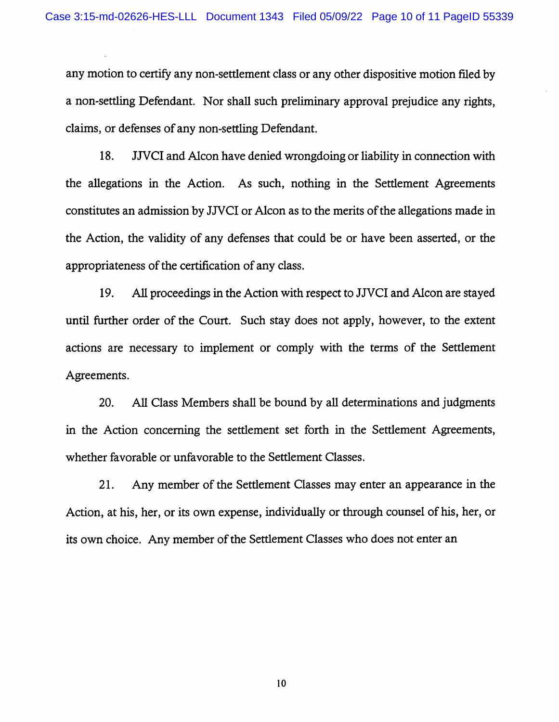any motion to certify any non-settlement class or any other dispositive motion filed by a non-settling Defendant. Nor shall such preliminary approval prejudice any rights, claims, or defenses of any non-settling Defendant.

18. JJVCI and Alcon have denied wrongdoing or liability in connection with the allegations in the Action. As such, nothing in the Settlement Agreements constitutes an admission by JJVCI or Alcon as to the merits of the allegations made in the Action, the validity of any defenses that could be or have been asserted, or the appropriateness of the certification of any class.

19. All proceedings in the Action with respect to JJVCI and Alcon are stayed until further order of the Court. Such stay does not apply, however, to the extent actions are necessary to implement or comply with the terms of the Settlement Agreements.

20. All Class Members shall be bound by all determinations and judgments in the Action concerning the settlement set forth in the Settlement Agreements, whether favorable or unfavorable to the Settlement Classes.

21. Any member of the Settlement Classes may enter an appearance in the Action, at his, her, or its own expense, individually or through counsel of his, her, or its own choice. Any member of the Settlement Classes who does not enter an

10